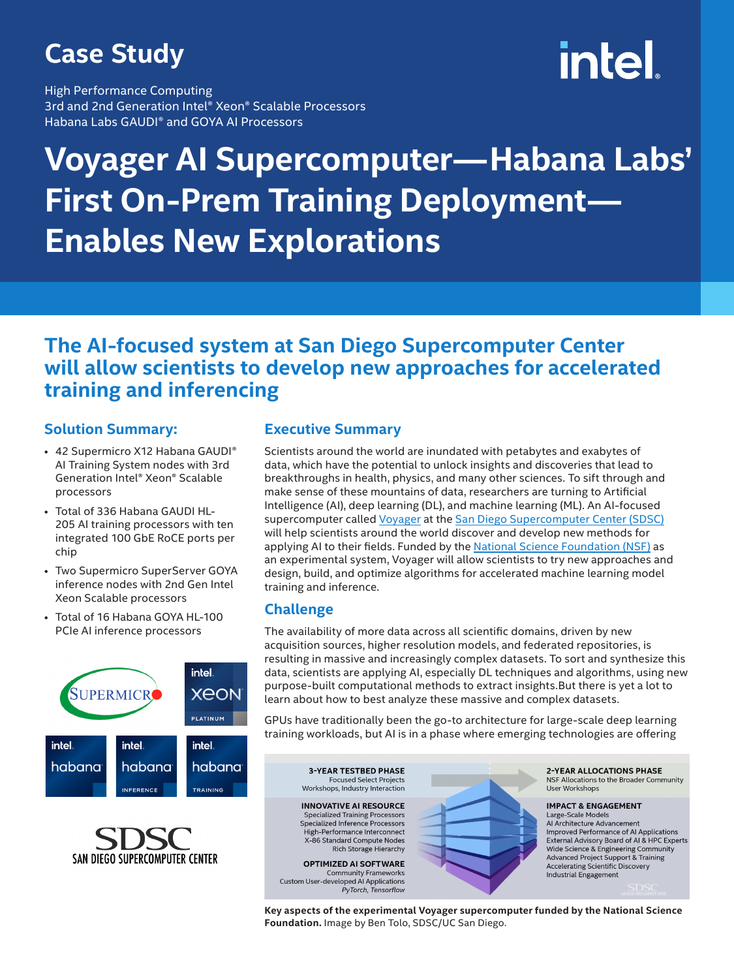## **Case Study**

High Performance Computing 3rd and 2nd Generation Intel® Xeon® Scalable Processors Habana Labs GAUDI® and GOYA AI Processors

# intel.

# **Voyager AI Supercomputer—Habana Labs' First On-Prem Training Deployment— Enables New Explorations**

### **The AI-focused system at San Diego Supercomputer Center will allow scientists to develop new approaches for accelerated training and inferencing**

#### **Solution Summary:**

- 42 Supermicro X12 Habana GAUDI® AI Training System nodes with 3rd Generation Intel® Xeon® Scalable processors
- Total of 336 Habana GAUDI HL-205 AI training processors with ten integrated 100 GbE RoCE ports per chip
- Two Supermicro SuperServer GOYA inference nodes with 2nd Gen Intel Xeon Scalable processors
- Total of 16 Habana GOYA HL-100 PCIe AI inference processors





#### **Executive Summary**

Scientists around the world are inundated with petabytes and exabytes of data, which have the potential to unlock insights and discoveries that lead to breakthroughs in health, physics, and many other sciences. To sift through and make sense of these mountains of data, researchers are turning to Artificial Intelligence (AI), deep learning (DL), and machine learning (ML). An AI-focused supercomputer called [Voyager](https://ucsdnews.ucsd.edu/pressrelease/san-diego-supercomputer-center-teams-up-with-habana-to-power-voyager) at the [San Diego Supercomputer Center \(SDSC\)](https://www.sdsc.edu/) will help scientists around the world discover and develop new methods for applying AI to their fields. Funded by the [National Science Foundation \(NSF\)](https://www.nsf.gov/) as an experimental system, Voyager will allow scientists to try new approaches and design, build, and optimize algorithms for accelerated machine learning model training and inference.

#### **Challenge**

The availability of more data across all scientific domains, driven by new acquisition sources, higher resolution models, and federated repositories, is resulting in massive and increasingly complex datasets. To sort and synthesize this data, scientists are applying AI, especially DL techniques and algorithms, using new purpose-built computational methods to extract insights.But there is yet a lot to learn about how to best analyze these massive and complex datasets.

GPUs have traditionally been the go-to architecture for large-scale deep learning training workloads, but AI is in a phase where emerging technologies are offering

**3-YEAR TESTBED PHASE Focused Select Projects** Workshops, Industry Interaction **INNOVATIVE AI RESOURCE Specialized Training Processors** Specialized Inference Processors High-Performance Interconnect X-86 Standard Compute Nodes Rich Storage Hierarchy OPTIMIZED AI SOFTWARE Community Frameworks<br>Custom User-developed AI Applications

PyTorch, Tensorflow



2-YEAR ALLOCATIONS PHASE NSF Allocations to the Broader Community **Liser Workshons** 

**IMPACT & ENGAGEMENT** Large-Scale Models Al Architecture Advancement Improved Performance of AI Applications External Advisory Board of AI & HPC Experts Wide Science & Engineering Community Advanced Project Support & Training **Accelerating Scientific Discovery** Industrial Engagement

**Key aspects of the experimental Voyager supercomputer funded by the National Science Foundation.** Image by Ben Tolo, SDSC/UC San Diego.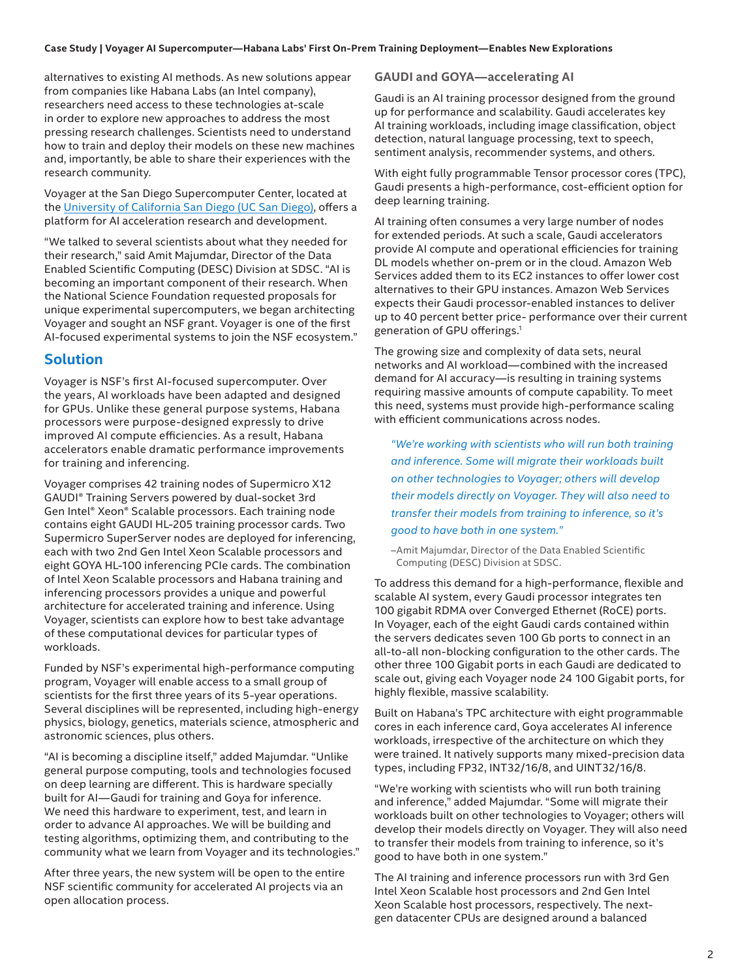alternatives to existing AI methods. As new solutions appear from companies like Habana Labs (an Intel company), researchers need access to these technologies at-scale in order to explore new approaches to address the most pressing research challenges. Scientists need to understand how to train and deploy their models on these new machines and, importantly, be able to share their experiences with the research community.

Voyager at the San Diego Supercomputer Center, located at the [University of California San Diego \(UC San Diego\)](https://ucsd.edu/), offers a platform for AI acceleration research and development.

"We talked to several scientists about what they needed for their research," said Amit Majumdar, Director of the Data Enabled Scientific Computing (DESC) Division at SDSC. "AI is becoming an important component of their research. When the National Science Foundation requested proposals for unique experimental supercomputers, we began architecting Voyager and sought an NSF grant. Voyager is one of the first AI-focused experimental systems to join the NSF ecosystem."

#### **Solution**

Voyager is NSF's first AI-focused supercomputer. Over the years, AI workloads have been adapted and designed for GPUs. Unlike these general purpose systems, Habana processors were purpose-designed expressly to drive improved AI compute efficiencies. As a result, Habana accelerators enable dramatic performance improvements for training and inferencing.

Voyager comprises 42 training nodes of Supermicro X12 GAUDI® Training Servers powered by dual-socket 3rd Gen Intel® Xeon® Scalable processors. Each training node contains eight GAUDI HL-205 training processor cards. Two Supermicro SuperServer nodes are deployed for inferencing, each with two 2nd Gen Intel Xeon Scalable processors and eight GOYA HL-100 inferencing PCIe cards. The combination of Intel Xeon Scalable processors and Habana training and inferencing processors provides a unique and powerful architecture for accelerated training and inference. Using Voyager, scientists can explore how to best take advantage of these computational devices for particular types of workloads.

Funded by NSF's experimental high-performance computing program, Voyager will enable access to a small group of scientists for the first three years of its 5-year operations. Several disciplines will be represented, including high-energy physics, biology, genetics, materials science, atmospheric and astronomic sciences, plus others.

"AI is becoming a discipline itself," added Majumdar. "Unlike general purpose computing, tools and technologies focused on deep learning are different. This is hardware specially built for AI—Gaudi for training and Goya for inference. We need this hardware to experiment, test, and learn in order to advance AI approaches. We will be building and testing algorithms, optimizing them, and contributing to the community what we learn from Voyager and its technologies."

After three years, the new system will be open to the entire NSF scientific community for accelerated AI projects via an open allocation process.

**GAUDI and GOYA—accelerating AI** 

Gaudi is an AI training processor designed from the ground up for performance and scalability. Gaudi accelerates key AI training workloads, including image classification, object detection, natural language processing, text to speech, sentiment analysis, recommender systems, and others.

With eight fully programmable Tensor processor cores (TPC), Gaudi presents a high-performance, cost-efficient option for deep learning training.

AI training often consumes a very large number of nodes for extended periods. At such a scale, Gaudi accelerators provide AI compute and operational efficiencies for training DL models whether on-prem or in the cloud. Amazon Web Services added them to its EC2 instances to offer lower cost alternatives to their GPU instances. Amazon Web Services expects their Gaudi processor-enabled instances to deliver up to 40 percent better price- performance over their current generation of GPU offerings.<sup>1</sup>

The growing size and complexity of data sets, neural networks and AI workload—combined with the increased demand for AI accuracy—is resulting in training systems requiring massive amounts of compute capability. To meet this need, systems must provide high-performance scaling with efficient communications across nodes.

*"We're working with scientists who will run both training and inference. Some will migrate their workloads built on other technologies to Voyager; others will develop their models directly on Voyager. They will also need to transfer their models from training to inference, so it's good to have both in one system."* 

–Amit Majumdar, Director of the Data Enabled Scientific Computing (DESC) Division at SDSC.

To address this demand for a high-performance, flexible and scalable AI system, every Gaudi processor integrates ten 100 gigabit RDMA over Converged Ethernet (RoCE) ports. In Voyager, each of the eight Gaudi cards contained within the servers dedicates seven 100 Gb ports to connect in an all-to-all non-blocking configuration to the other cards. The other three 100 Gigabit ports in each Gaudi are dedicated to scale out, giving each Voyager node 24 100 Gigabit ports, for highly flexible, massive scalability.

Built on Habana's TPC architecture with eight programmable cores in each inference card, Goya accelerates AI inference workloads, irrespective of the architecture on which they were trained. It natively supports many mixed-precision data types, including FP32, INT32/16/8, and UINT32/16/8.

"We're working with scientists who will run both training and inference," added Majumdar. "Some will migrate their workloads built on other technologies to Voyager; others will develop their models directly on Voyager. They will also need to transfer their models from training to inference, so it's good to have both in one system."

The AI training and inference processors run with 3rd Gen Intel Xeon Scalable host processors and 2nd Gen Intel Xeon Scalable host processors, respectively. The nextgen datacenter CPUs are designed around a balanced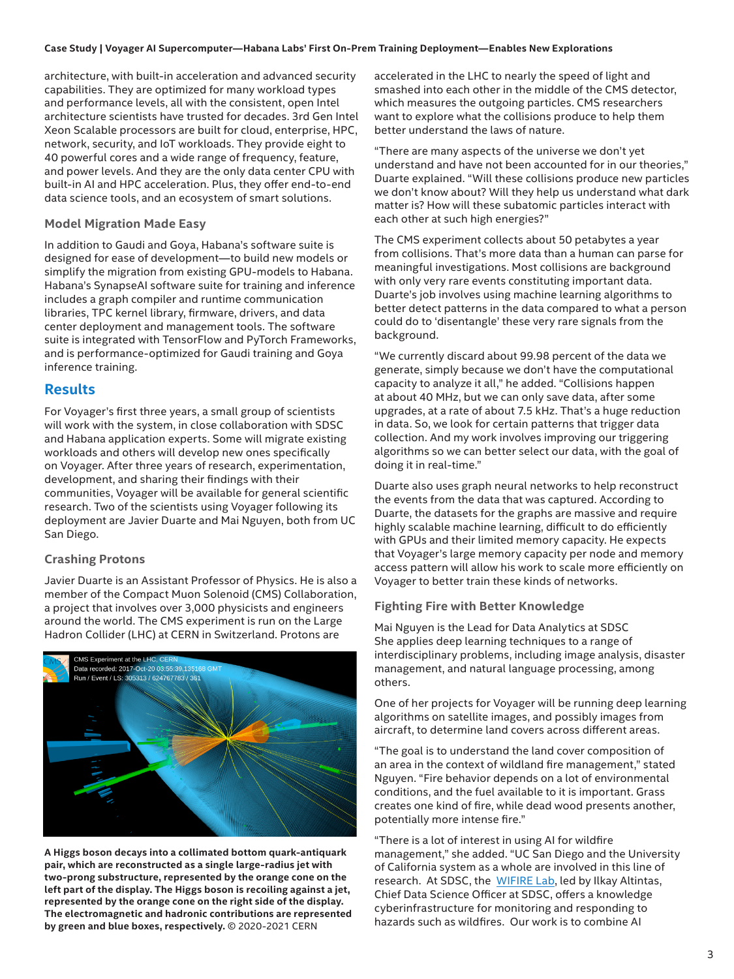#### **Case Study | Voyager AI Supercomputer—Habana Labs' First On-Prem Training Deployment—Enables New Explorations**

architecture, with built-in acceleration and advanced security capabilities. They are optimized for many workload types and performance levels, all with the consistent, open Intel architecture scientists have trusted for decades. 3rd Gen Intel Xeon Scalable processors are built for cloud, enterprise, HPC, network, security, and IoT workloads. They provide eight to 40 powerful cores and a wide range of frequency, feature, and power levels. And they are the only data center CPU with built-in AI and HPC acceleration. Plus, they offer end-to-end data science tools, and an ecosystem of smart solutions.

#### **Model Migration Made Easy**

In addition to Gaudi and Goya, Habana's software suite is designed for ease of development—to build new models or simplify the migration from existing GPU-models to Habana. Habana's SynapseAI software suite for training and inference includes a graph compiler and runtime communication libraries, TPC kernel library, firmware, drivers, and data center deployment and management tools. The software suite is integrated with TensorFlow and PyTorch Frameworks, and is performance-optimized for Gaudi training and Goya inference training.

#### **Results**

For Voyager's first three years, a small group of scientists will work with the system, in close collaboration with SDSC and Habana application experts. Some will migrate existing workloads and others will develop new ones specifically on Voyager. After three years of research, experimentation, development, and sharing their findings with their communities, Voyager will be available for general scientific research. Two of the scientists using Voyager following its deployment are Javier Duarte and Mai Nguyen, both from UC San Diego.

#### **Crashing Protons**

Javier Duarte is an Assistant Professor of Physics. He is also a member of the Compact Muon Solenoid (CMS) Collaboration, a project that involves over 3,000 physicists and engineers around the world. The CMS experiment is run on the Large Hadron Collider (LHC) at CERN in Switzerland. Protons are



**A Higgs boson decays into a collimated bottom quark-antiquark pair, which are reconstructed as a single large-radius jet with two-prong substructure, represented by the orange cone on the left part of the display. The Higgs boson is recoiling against a jet, represented by the orange cone on the right side of the display. The electromagnetic and hadronic contributions are represented by green and blue boxes, respectively.** © 2020-2021 CERN

accelerated in the LHC to nearly the speed of light and smashed into each other in the middle of the CMS detector, which measures the outgoing particles. CMS researchers want to explore what the collisions produce to help them better understand the laws of nature.

"There are many aspects of the universe we don't yet understand and have not been accounted for in our theories," Duarte explained. "Will these collisions produce new particles we don't know about? Will they help us understand what dark matter is? How will these subatomic particles interact with each other at such high energies?"

The CMS experiment collects about 50 petabytes a year from collisions. That's more data than a human can parse for meaningful investigations. Most collisions are background with only very rare events constituting important data. Duarte's job involves using machine learning algorithms to better detect patterns in the data compared to what a person could do to 'disentangle' these very rare signals from the background.

"We currently discard about 99.98 percent of the data we generate, simply because we don't have the computational capacity to analyze it all," he added. "Collisions happen at about 40 MHz, but we can only save data, after some upgrades, at a rate of about 7.5 kHz. That's a huge reduction in data. So, we look for certain patterns that trigger data collection. And my work involves improving our triggering algorithms so we can better select our data, with the goal of doing it in real-time."

Duarte also uses graph neural networks to help reconstruct the events from the data that was captured. According to Duarte, the datasets for the graphs are massive and require highly scalable machine learning, difficult to do efficiently with GPUs and their limited memory capacity. He expects that Voyager's large memory capacity per node and memory access pattern will allow his work to scale more efficiently on Voyager to better train these kinds of networks.

#### **Fighting Fire with Better Knowledge**

Mai Nguyen is the Lead for Data Analytics at SDSC She applies deep learning techniques to a range of interdisciplinary problems, including image analysis, disaster management, and natural language processing, among others.

One of her projects for Voyager will be running deep learning algorithms on satellite images, and possibly images from aircraft, to determine land covers across different areas.

"The goal is to understand the land cover composition of an area in the context of wildland fire management," stated Nguyen. "Fire behavior depends on a lot of environmental conditions, and the fuel available to it is important. Grass creates one kind of fire, while dead wood presents another, potentially more intense fire."

"There is a lot of interest in using AI for wildfire management," she added. "UC San Diego and the University of California system as a whole are involved in this line of research. At SDSC, the [WIFIRE Lab](https://wifire.ucsd.edu/), led by Ilkay Altintas, Chief Data Science Officer at SDSC, offers a knowledge cyberinfrastructure for monitoring and responding to hazards such as wildfires. Our work is to combine AI